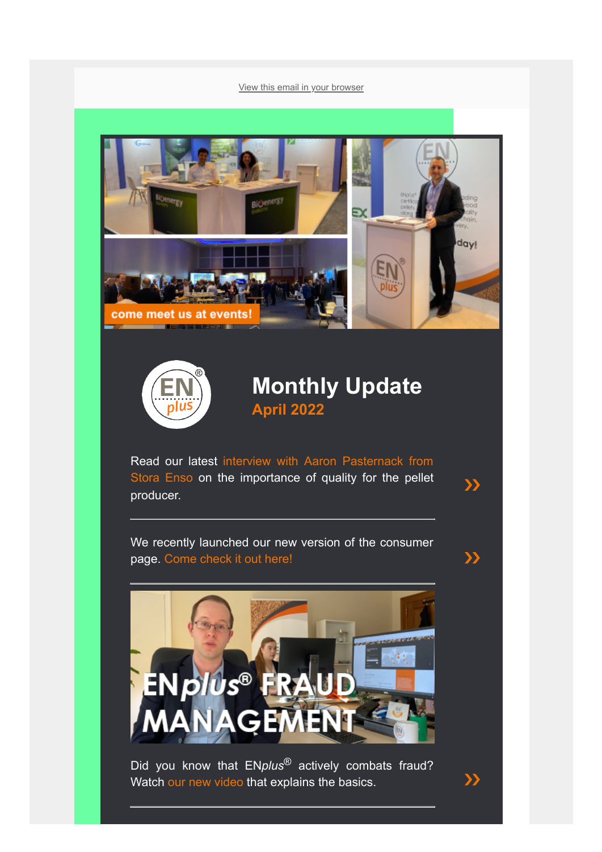[View this email in your browser](https://mailchi.mp/2dde44c7ca51/enplus-statistics-1000-certified-companies-and-more-977373?e=[UNIQID])





#### **Monthly Update April 2022**

 $\sum$ 

[Read our latest interview with Aaron Pasternack from](https://enplus-pellets.eu/en-in/news-events/latest-news/649-aaron-pasternack-from-stora-enso-on-the-importance-of-quality-for-the-pellet-producer.html) Stora Enso on the importance of quality for the pellet producer.

We recently launched our new version of the consumer page. [Come check it out here!](https://enplus-pellets.eu/en-in/consumers.html) [❯❯](https://enplus-pellets.eu/en-in/consumers.html)



Did you know that EN*plus*® actively combats fraud? Watch [our new video](https://youtu.be/ZXinxo5KG_E) that explains the basics.  $\Box$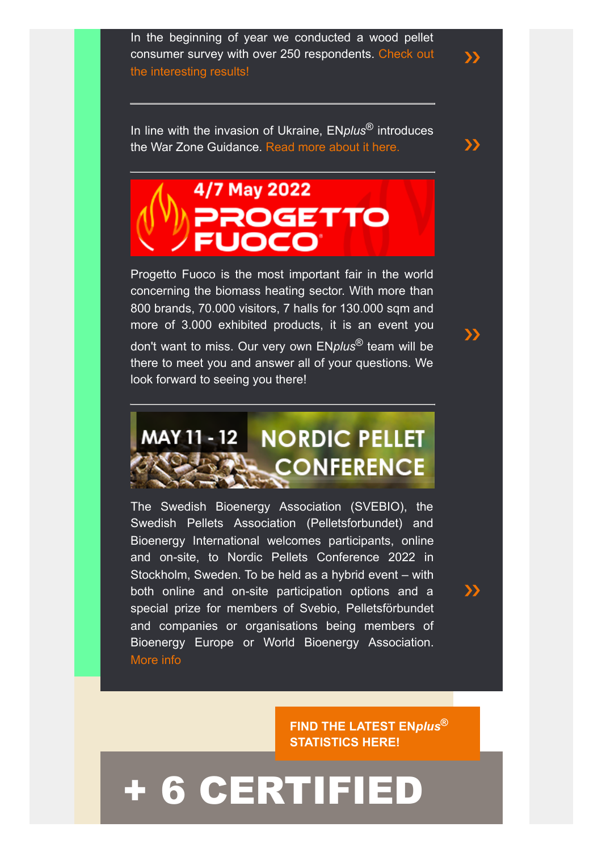In the beginning of year we conducted a wood pellet [consumer survey with over 250 respondents. Check out](https://enplus-pellets.eu/en-in/news-events/latest-news/625-wood-pellets-consumers-their-habits-and-purchasing-behaviour.html) the interesting results!

[❯❯](https://enplus-pellets.eu/en-in/news-events/latest-news/625-wood-pellets-consumers-their-habits-and-purchasing-behaviour.html)

[❯❯](https://www.progettofuoco.com/en/)

 $\rightarrow$ 

In line with the invasion of Ukraine, EN*plus*® introduces the War Zone Guidance. [Read more about it here.](https://enplus-pellets.eu/en-in/news-events/latest-news/579-enplus%C2%AE-introduces-war-zone-guidance.html)  $\lambda$ 

### 4/7 May 2022 PROGETTO JOCO

Progetto Fuoco is the most important fair in the world concerning the biomass heating sector. With more than 800 brands, 70.000 visitors, 7 halls for 130.000 sqm and more of 3.000 exhibited products, it is an event you don't want to miss. Our very own EN*plus*® team will be there to meet you and answer all of your questions. We look forward to seeing you there!

## **MAY 11 - 12 NORDIC PELLET CONFERENCE**

The Swedish Bioenergy Association (SVEBIO), the Swedish Pellets Association (Pelletsforbundet) and Bioenergy International welcomes participants, online and on-site, to Nordic Pellets Conference 2022 in Stockholm, Sweden. To be held as a hybrid event – with both online and on-site participation options and a special prize for members of Svebio, Pelletsförbundet and companies or organisations being members of Bioenergy Europe or World Bioenergy Association. [More info](https://www.svebio.se/en/evenemang/svebio-anordnar-nordic-pellets-conference/)

> **[FIND THE LATEST EN](https://enplus-pellets.eu/en-in/latest-statistics.html)***plus***® STATISTICS HERE!**

## [+ 6 CERTIFIED](https://enplus-pellets.eu/en-in/certifications-en-in/producer-en-in.html)